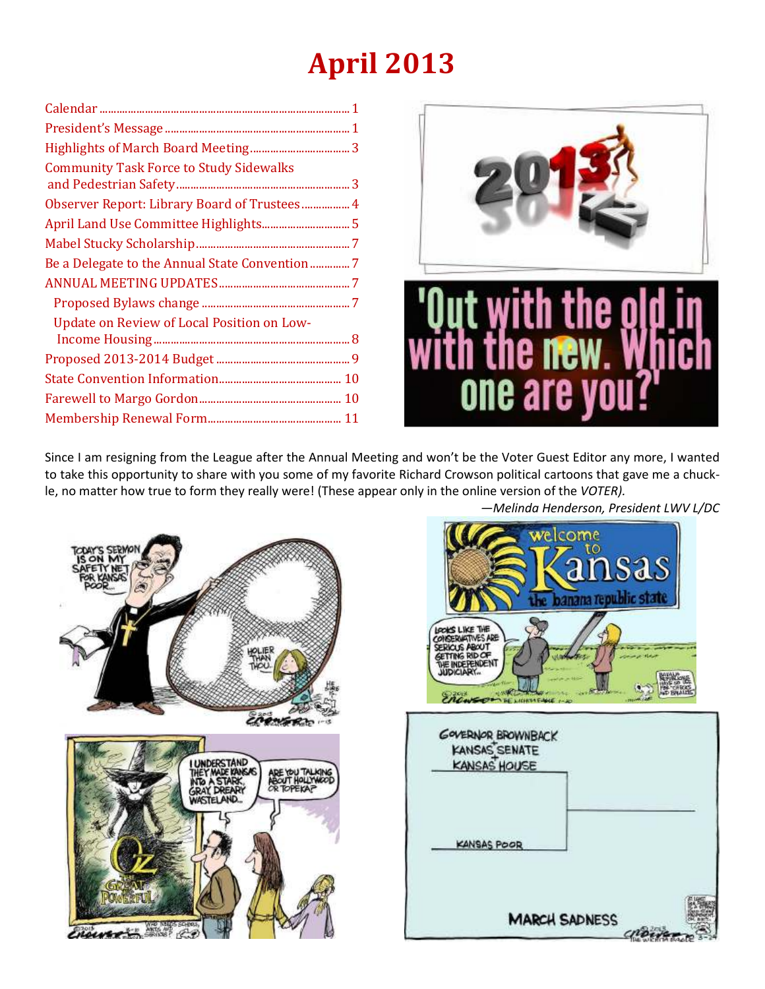# **April 2013**

| <b>Community Task Force to Study Sidewalks</b> |
|------------------------------------------------|
| Observer Report: Library Board of Trustees 4   |
|                                                |
|                                                |
|                                                |
|                                                |
|                                                |
| Update on Review of Local Position on Low-     |
|                                                |
|                                                |
|                                                |
|                                                |
|                                                |



Since I am resigning from the League after the Annual Meeting and won't be the Voter Guest Editor any more, I wanted to take this opportunity to share with you some of my favorite Richard Crowson political cartoons that gave me a chuckle, no matter how true to form they really were! (These appear only in the online version of the *VOTER).* 



welcome  $\sim$ sa the banana republic state LOOKS LIKE THE CONSERVATIVES ARE<br>SERICUS ABOUT<br>GETTING RID OF **INDEPENDEN GOVERNOR BROWNBACK** KANSAS SENATE **KANSAS HOUSE KANSAS POOR MARCH SADNESS** 

*—Melinda Henderson, President LWV L/DC*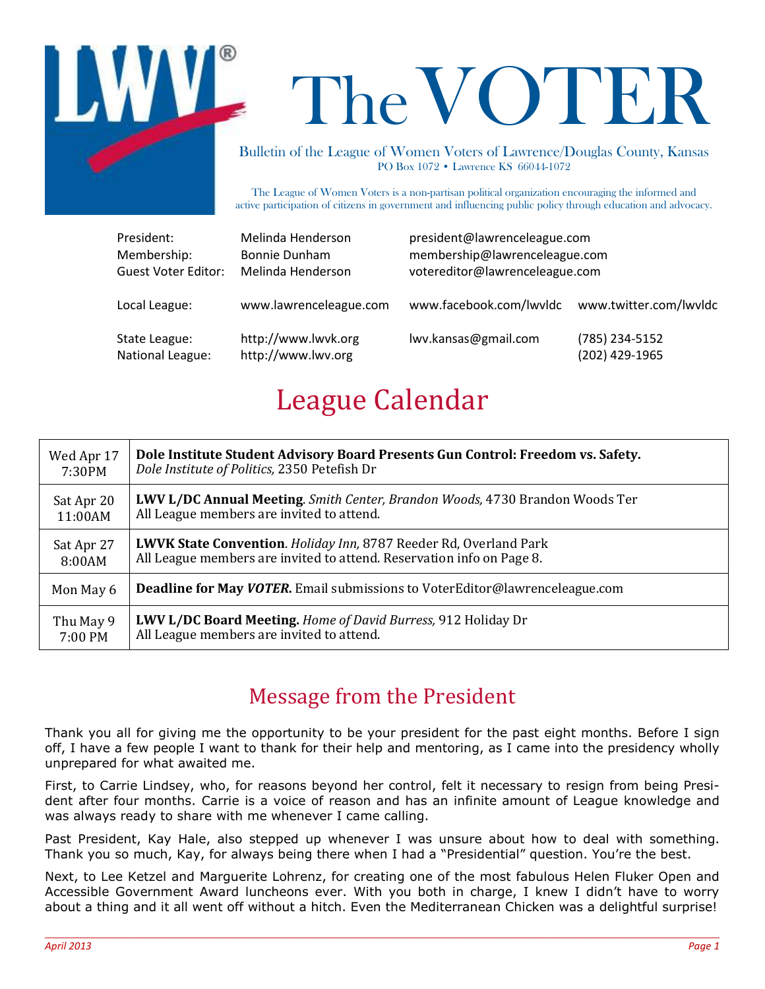

# The VOTER

Bulletin of the League of Women Voters of Lawrence/Douglas County, Kansas PO Box 1072 • Lawrence KS 66044-1072

The League of Women Voters is a non-partisan political organization encouraging the informed and active participation of citizens in government and influencing public policy through education and advocacy.

| President:                 | Melinda Henderson      | president@lawrenceleague.com   |                        |
|----------------------------|------------------------|--------------------------------|------------------------|
| Membership:                | Bonnie Dunham          | membership@lawrenceleague.com  |                        |
| <b>Guest Voter Editor:</b> | Melinda Henderson      | votereditor@lawrenceleague.com |                        |
| Local League:              | www.lawrenceleague.com | www.facebook.com/lwvldc        | www.twitter.com/lwvldc |
| State League:              | http://www.lwvk.org    | lwv.kansas@gmail.com           | (785) 234-5152         |
| National League:           | http://www.lwv.org     |                                | (202) 429-1965         |

# League Calendar

| Wed Apr 17 | Dole Institute Student Advisory Board Presents Gun Control: Freedom vs. Safety.     |  |
|------------|-------------------------------------------------------------------------------------|--|
| 7:30PM     | Dole Institute of Politics, 2350 Petefish Dr                                        |  |
| Sat Apr 20 | <b>LWV L/DC Annual Meeting.</b> Smith Center, Brandon Woods, 4730 Brandon Woods Ter |  |
| 11:00AM    | All League members are invited to attend.                                           |  |
| Sat Apr 27 | <b>LWVK State Convention.</b> Holiday Inn, 8787 Reeder Rd, Overland Park            |  |
| 8:00AM     | All League members are invited to attend. Reservation info on Page 8.               |  |
| Mon May 6  | <b>Deadline for May VOTER.</b> Email submissions to VoterEditor@lawrenceleague.com  |  |
| Thu May 9  | <b>LWV L/DC Board Meeting.</b> Home of David Burress, 912 Holiday Dr                |  |
| 7:00 PM    | All League members are invited to attend.                                           |  |

# Message from the President

Thank you all for giving me the opportunity to be your president for the past eight months. Before I sign off, I have a few people I want to thank for their help and mentoring, as I came into the presidency wholly unprepared for what awaited me.

First, to Carrie Lindsey, who, for reasons beyond her control, felt it necessary to resign from being President after four months. Carrie is a voice of reason and has an infinite amount of League knowledge and was always ready to share with me whenever I came calling.

Past President, Kay Hale, also stepped up whenever I was unsure about how to deal with something. Thank you so much, Kay, for always being there when I had a "Presidential" question. You're the best.

Next, to Lee Ketzel and Marguerite Lohrenz, for creating one of the most fabulous Helen Fluker Open and Accessible Government Award luncheons ever. With you both in charge, I knew I didn't have to worry about a thing and it all went off without a hitch. Even the Mediterranean Chicken was a delightful surprise!

 $\_$  , and the set of the set of the set of the set of the set of the set of the set of the set of the set of the set of the set of the set of the set of the set of the set of the set of the set of the set of the set of th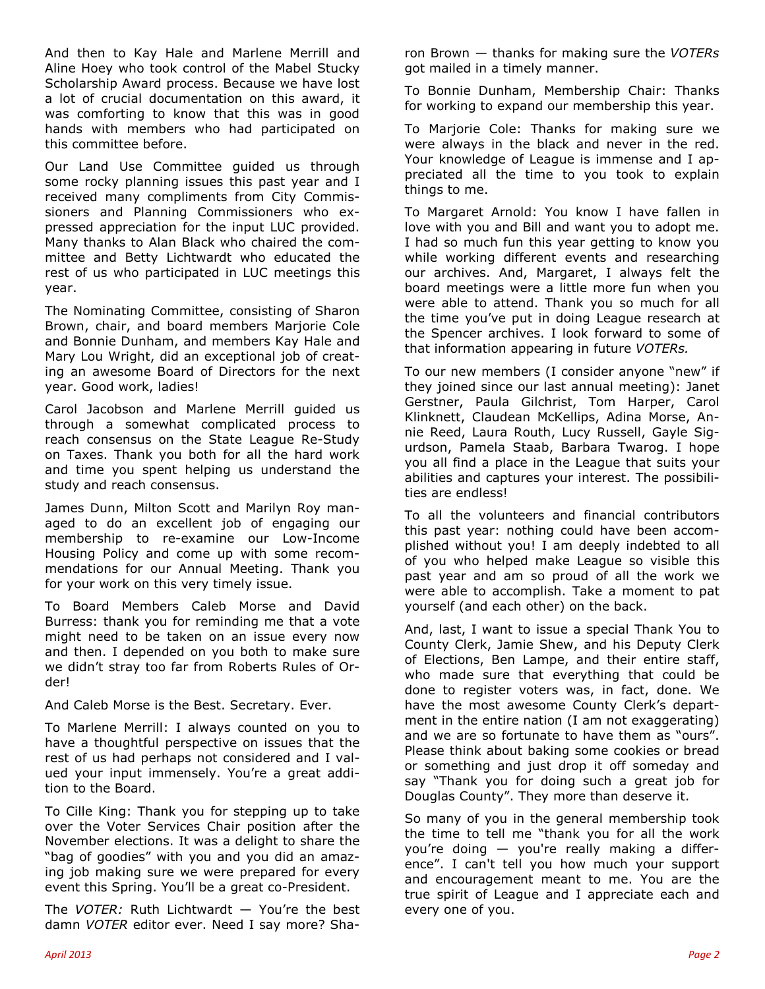And then to Kay Hale and Marlene Merrill and Aline Hoey who took control of the Mabel Stucky Scholarship Award process. Because we have lost a lot of crucial documentation on this award, it was comforting to know that this was in good hands with members who had participated on this committee before.

Our Land Use Committee guided us through some rocky planning issues this past year and I received many compliments from City Commissioners and Planning Commissioners who expressed appreciation for the input LUC provided. Many thanks to Alan Black who chaired the committee and Betty Lichtwardt who educated the rest of us who participated in LUC meetings this year.

The Nominating Committee, consisting of Sharon Brown, chair, and board members Marjorie Cole and Bonnie Dunham, and members Kay Hale and Mary Lou Wright, did an exceptional job of creating an awesome Board of Directors for the next year. Good work, ladies!

Carol Jacobson and Marlene Merrill guided us through a somewhat complicated process to reach consensus on the State League Re-Study on Taxes. Thank you both for all the hard work and time you spent helping us understand the study and reach consensus.

James Dunn, Milton Scott and Marilyn Roy managed to do an excellent job of engaging our membership to re-examine our Low-Income Housing Policy and come up with some recommendations for our Annual Meeting. Thank you for your work on this very timely issue.

To Board Members Caleb Morse and David Burress: thank you for reminding me that a vote might need to be taken on an issue every now and then. I depended on you both to make sure we didn't stray too far from Roberts Rules of Order!

And Caleb Morse is the Best. Secretary. Ever.

To Marlene Merrill: I always counted on you to have a thoughtful perspective on issues that the rest of us had perhaps not considered and I valued your input immensely. You're a great addition to the Board.

To Cille King: Thank you for stepping up to take over the Voter Services Chair position after the November elections. It was a delight to share the "bag of goodies" with you and you did an amazing job making sure we were prepared for every event this Spring. You'll be a great co-President.

The *VOTER:* Ruth Lichtwardt — You're the best damn *VOTER* editor ever. Need I say more? Sharon Brown — thanks for making sure the *VOTERs* got mailed in a timely manner.

To Bonnie Dunham, Membership Chair: Thanks for working to expand our membership this year.

To Marjorie Cole: Thanks for making sure we were always in the black and never in the red. Your knowledge of League is immense and I appreciated all the time to you took to explain things to me.

To Margaret Arnold: You know I have fallen in love with you and Bill and want you to adopt me. I had so much fun this year getting to know you while working different events and researching our archives. And, Margaret, I always felt the board meetings were a little more fun when you were able to attend. Thank you so much for all the time you've put in doing League research at the Spencer archives. I look forward to some of that information appearing in future *VOTERs.*

To our new members (I consider anyone "new" if they joined since our last annual meeting): Janet Gerstner, Paula Gilchrist, Tom Harper, Carol Klinknett, Claudean McKellips, Adina Morse, Annie Reed, Laura Routh, Lucy Russell, Gayle Sigurdson, Pamela Staab, Barbara Twarog. I hope you all find a place in the League that suits your abilities and captures your interest. The possibilities are endless!

To all the volunteers and financial contributors this past year: nothing could have been accomplished without you! I am deeply indebted to all of you who helped make League so visible this past year and am so proud of all the work we were able to accomplish. Take a moment to pat yourself (and each other) on the back.

And, last, I want to issue a special Thank You to County Clerk, Jamie Shew, and his Deputy Clerk of Elections, Ben Lampe, and their entire staff, who made sure that everything that could be done to register voters was, in fact, done. We have the most awesome County Clerk's department in the entire nation (I am not exaggerating) and we are so fortunate to have them as "ours". Please think about baking some cookies or bread or something and just drop it off someday and say "Thank you for doing such a great job for Douglas County". They more than deserve it.

So many of you in the general membership took the time to tell me "thank you for all the work you're doing — you're really making a difference". I can't tell you how much your support and encouragement meant to me. You are the true spirit of League and I appreciate each and every one of you.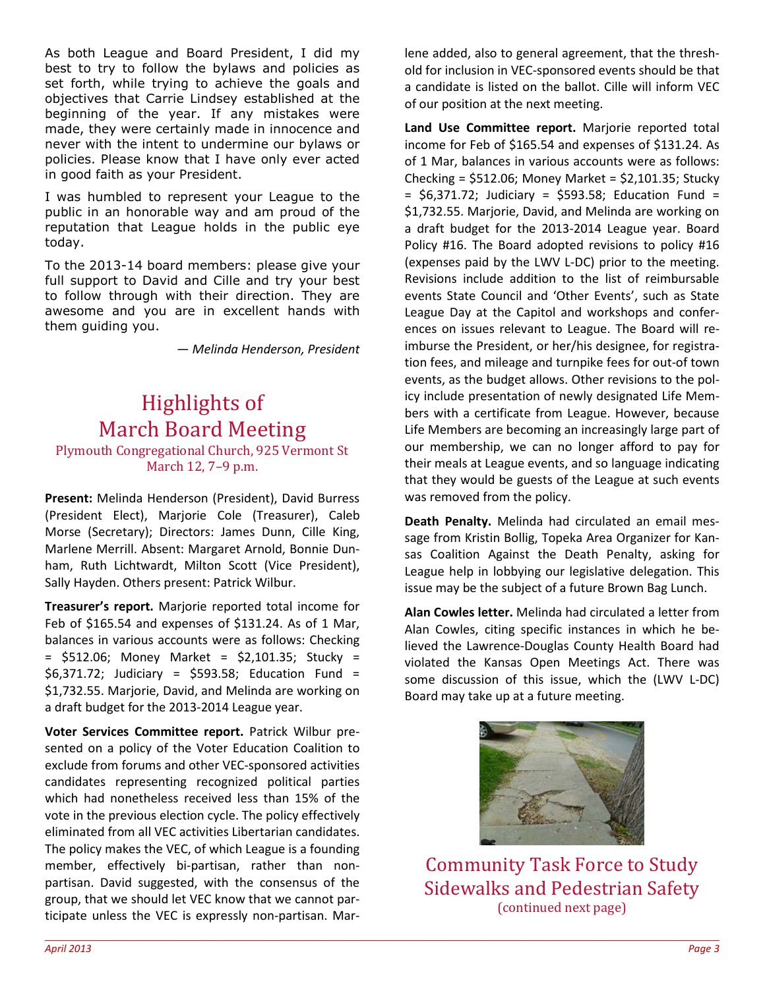As both League and Board President, I did my best to try to follow the bylaws and policies as set forth, while trying to achieve the goals and objectives that Carrie Lindsey established at the beginning of the year. If any mistakes were made, they were certainly made in innocence and never with the intent to undermine our bylaws or policies. Please know that I have only ever acted in good faith as your President.

I was humbled to represent your League to the public in an honorable way and am proud of the reputation that League holds in the public eye today.

To the 2013-14 board members: please give your full support to David and Cille and try your best to follow through with their direction. They are awesome and you are in excellent hands with them guiding you.

*— Melinda Henderson, President* 

# Highlights of March Board Meeting

Plymouth Congregational Church, 925 Vermont St March 12, 7–9 p.m.

**Present:** Melinda Henderson (President), David Burress (President Elect), Marjorie Cole (Treasurer), Caleb Morse (Secretary); Directors: James Dunn, Cille King, Marlene Merrill. Absent: Margaret Arnold, Bonnie Dunham, Ruth Lichtwardt, Milton Scott (Vice President), Sally Hayden. Others present: Patrick Wilbur.

**Treasurer's report.** Marjorie reported total income for Feb of \$165.54 and expenses of \$131.24. As of 1 Mar, balances in various accounts were as follows: Checking = \$512.06; Money Market = \$2,101.35; Stucky = \$6,371.72; Judiciary = \$593.58; Education Fund = \$1,732.55. Marjorie, David, and Melinda are working on a draft budget for the 2013-2014 League year.

**Voter Services Committee report.** Patrick Wilbur presented on a policy of the Voter Education Coalition to exclude from forums and other VEC-sponsored activities candidates representing recognized political parties which had nonetheless received less than 15% of the vote in the previous election cycle. The policy effectively eliminated from all VEC activities Libertarian candidates. The policy makes the VEC, of which League is a founding member, effectively bi-partisan, rather than nonpartisan. David suggested, with the consensus of the group, that we should let VEC know that we cannot participate unless the VEC is expressly non-partisan. Marlene added, also to general agreement, that the threshold for inclusion in VEC-sponsored events should be that a candidate is listed on the ballot. Cille will inform VEC of our position at the next meeting.

**Land Use Committee report.** Marjorie reported total income for Feb of \$165.54 and expenses of \$131.24. As of 1 Mar, balances in various accounts were as follows: Checking =  $$512.06$ ; Money Market =  $$2,101.35$ ; Stucky  $=$  \$6,371.72; Judiciary  $=$  \$593.58; Education Fund  $=$ \$1,732.55. Marjorie, David, and Melinda are working on a draft budget for the 2013-2014 League year. Board Policy #16. The Board adopted revisions to policy #16 (expenses paid by the LWV L-DC) prior to the meeting. Revisions include addition to the list of reimbursable events State Council and 'Other Events', such as State League Day at the Capitol and workshops and conferences on issues relevant to League. The Board will reimburse the President, or her/his designee, for registration fees, and mileage and turnpike fees for out-of town events, as the budget allows. Other revisions to the policy include presentation of newly designated Life Members with a certificate from League. However, because Life Members are becoming an increasingly large part of our membership, we can no longer afford to pay for their meals at League events, and so language indicating that they would be guests of the League at such events was removed from the policy.

**Death Penalty.** Melinda had circulated an email message from Kristin Bollig, Topeka Area Organizer for Kansas Coalition Against the Death Penalty, asking for League help in lobbying our legislative delegation. This issue may be the subject of a future Brown Bag Lunch.

**Alan Cowles letter.** Melinda had circulated a letter from Alan Cowles, citing specific instances in which he believed the Lawrence-Douglas County Health Board had violated the Kansas Open Meetings Act. There was some discussion of this issue, which the (LWV L-DC) Board may take up at a future meeting.



Community Task Force to Study Sidewalks and Pedestrian Safety (continued next page)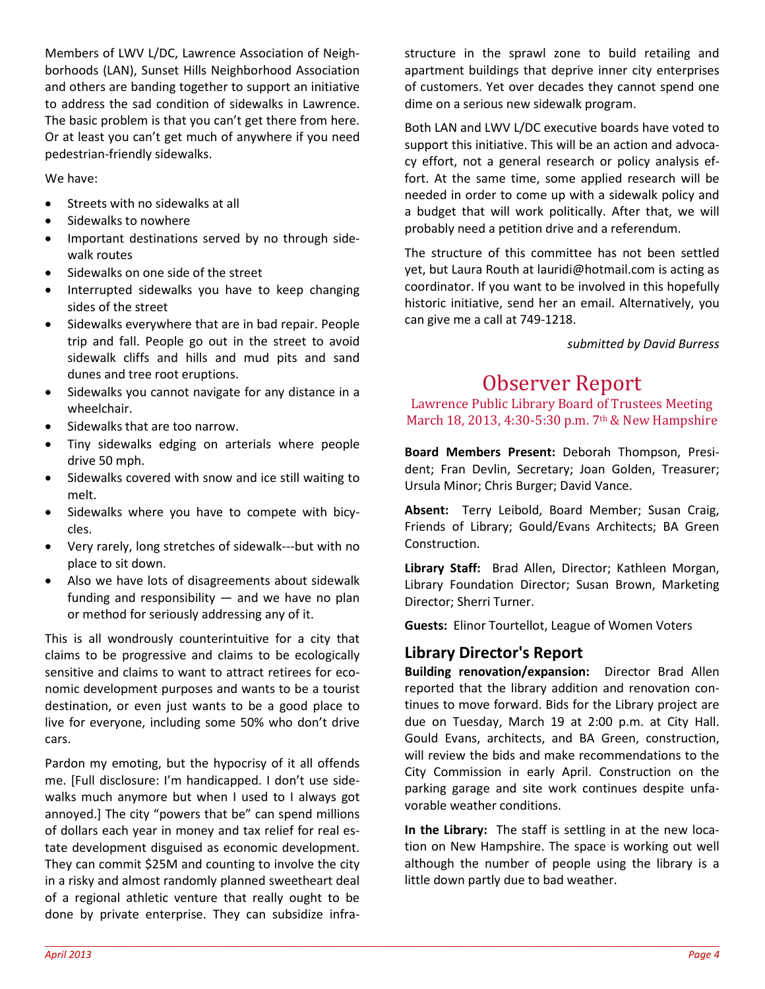Members of LWV L/DC, Lawrence Association of Neighborhoods (LAN), Sunset Hills Neighborhood Association and others are banding together to support an initiative to address the sad condition of sidewalks in Lawrence. The basic problem is that you can't get there from here. Or at least you can't get much of anywhere if you need pedestrian-friendly sidewalks.

We have:

- Streets with no sidewalks at all
- Sidewalks to nowhere
- Important destinations served by no through sidewalk routes
- Sidewalks on one side of the street
- Interrupted sidewalks you have to keep changing sides of the street
- Sidewalks everywhere that are in bad repair. People trip and fall. People go out in the street to avoid sidewalk cliffs and hills and mud pits and sand dunes and tree root eruptions.
- Sidewalks you cannot navigate for any distance in a wheelchair.
- Sidewalks that are too narrow.
- Tiny sidewalks edging on arterials where people drive 50 mph.
- Sidewalks covered with snow and ice still waiting to melt.
- Sidewalks where you have to compete with bicycles.
- Very rarely, long stretches of sidewalk---but with no place to sit down.
- Also we have lots of disagreements about sidewalk funding and responsibility  $-$  and we have no plan or method for seriously addressing any of it.

This is all wondrously counterintuitive for a city that claims to be progressive and claims to be ecologically sensitive and claims to want to attract retirees for economic development purposes and wants to be a tourist destination, or even just wants to be a good place to live for everyone, including some 50% who don't drive cars.

Pardon my emoting, but the hypocrisy of it all offends me. [Full disclosure: I'm handicapped. I don't use sidewalks much anymore but when I used to I always got annoyed.] The city "powers that be" can spend millions of dollars each year in money and tax relief for real estate development disguised as economic development. They can commit \$25M and counting to involve the city in a risky and almost randomly planned sweetheart deal of a regional athletic venture that really ought to be done by private enterprise. They can subsidize infrastructure in the sprawl zone to build retailing and apartment buildings that deprive inner city enterprises of customers. Yet over decades they cannot spend one dime on a serious new sidewalk program.

Both LAN and LWV L/DC executive boards have voted to support this initiative. This will be an action and advocacy effort, not a general research or policy analysis effort. At the same time, some applied research will be needed in order to come up with a sidewalk policy and a budget that will work politically. After that, we will probably need a petition drive and a referendum.

The structure of this committee has not been settled yet, but Laura Routh at lauridi@hotmail.com is acting as coordinator. If you want to be involved in this hopefully historic initiative, send her an email. Alternatively, you can give me a call at 749-1218.

*submitted by David Burress* 

# Observer Report

Lawrence Public Library Board of Trustees Meeting March 18, 2013, 4:30-5:30 p.m. 7th & New Hampshire

**Board Members Present:** Deborah Thompson, President; Fran Devlin, Secretary; Joan Golden, Treasurer; Ursula Minor; Chris Burger; David Vance.

**Absent:** Terry Leibold, Board Member; Susan Craig, Friends of Library; Gould/Evans Architects; BA Green Construction.

**Library Staff:** Brad Allen, Director; Kathleen Morgan, Library Foundation Director; Susan Brown, Marketing Director; Sherri Turner.

**Guests:** Elinor Tourtellot, League of Women Voters

#### **Library Director's Report**

**Building renovation/expansion:** Director Brad Allen reported that the library addition and renovation continues to move forward. Bids for the Library project are due on Tuesday, March 19 at 2:00 p.m. at City Hall. Gould Evans, architects, and BA Green, construction, will review the bids and make recommendations to the City Commission in early April. Construction on the parking garage and site work continues despite unfavorable weather conditions.

**In the Library:** The staff is settling in at the new location on New Hampshire. The space is working out well although the number of people using the library is a little down partly due to bad weather.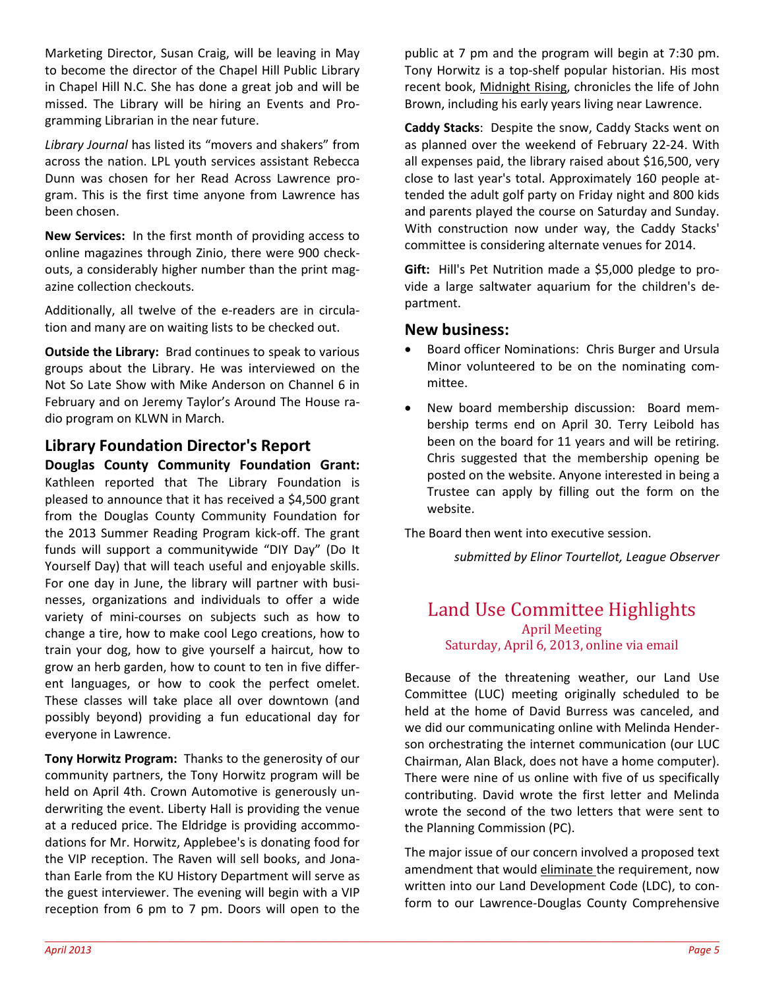Marketing Director, Susan Craig, will be leaving in May to become the director of the Chapel Hill Public Library in Chapel Hill N.C. She has done a great job and will be missed. The Library will be hiring an Events and Programming Librarian in the near future.

*Library Journal* has listed its "movers and shakers" from across the nation. LPL youth services assistant Rebecca Dunn was chosen for her Read Across Lawrence program. This is the first time anyone from Lawrence has been chosen.

**New Services:** In the first month of providing access to online magazines through Zinio, there were 900 checkouts, a considerably higher number than the print magazine collection checkouts.

Additionally, all twelve of the e-readers are in circulation and many are on waiting lists to be checked out.

**Outside the Library:** Brad continues to speak to various groups about the Library. He was interviewed on the Not So Late Show with Mike Anderson on Channel 6 in February and on Jeremy Taylor's Around The House radio program on KLWN in March.

#### **Library Foundation Director's Report**

**Douglas County Community Foundation Grant:**  Kathleen reported that The Library Foundation is pleased to announce that it has received a \$4,500 grant from the Douglas County Community Foundation for the 2013 Summer Reading Program kick-off. The grant funds will support a communitywide "DIY Day" (Do It Yourself Day) that will teach useful and enjoyable skills. For one day in June, the library will partner with businesses, organizations and individuals to offer a wide variety of mini-courses on subjects such as how to change a tire, how to make cool Lego creations, how to train your dog, how to give yourself a haircut, how to grow an herb garden, how to count to ten in five different languages, or how to cook the perfect omelet. These classes will take place all over downtown (and possibly beyond) providing a fun educational day for everyone in Lawrence.

**Tony Horwitz Program:** Thanks to the generosity of our community partners, the Tony Horwitz program will be held on April 4th. Crown Automotive is generously underwriting the event. Liberty Hall is providing the venue at a reduced price. The Eldridge is providing accommodations for Mr. Horwitz, Applebee's is donating food for the VIP reception. The Raven will sell books, and Jonathan Earle from the KU History Department will serve as the guest interviewer. The evening will begin with a VIP reception from 6 pm to 7 pm. Doors will open to the

public at 7 pm and the program will begin at 7:30 pm. Tony Horwitz is a top-shelf popular historian. His most recent book, Midnight Rising, chronicles the life of John Brown, including his early years living near Lawrence.

**Caddy Stacks**: Despite the snow, Caddy Stacks went on as planned over the weekend of February 22-24. With all expenses paid, the library raised about \$16,500, very close to last year's total. Approximately 160 people attended the adult golf party on Friday night and 800 kids and parents played the course on Saturday and Sunday. With construction now under way, the Caddy Stacks' committee is considering alternate venues for 2014.

**Gift:** Hill's Pet Nutrition made a \$5,000 pledge to provide a large saltwater aquarium for the children's department.

#### **New business:**

- Board officer Nominations: Chris Burger and Ursula Minor volunteered to be on the nominating committee.
- New board membership discussion: Board membership terms end on April 30. Terry Leibold has been on the board for 11 years and will be retiring. Chris suggested that the membership opening be posted on the website. Anyone interested in being a Trustee can apply by filling out the form on the website.

The Board then went into executive session.

*submitted by Elinor Tourtellot, League Observer* 

#### Land Use Committee Highlights April Meeting Saturday, April 6, 2013, online via email

Because of the threatening weather, our Land Use Committee (LUC) meeting originally scheduled to be held at the home of David Burress was canceled, and we did our communicating online with Melinda Henderson orchestrating the internet communication (our LUC Chairman, Alan Black, does not have a home computer). There were nine of us online with five of us specifically contributing. David wrote the first letter and Melinda wrote the second of the two letters that were sent to the Planning Commission (PC).

The major issue of our concern involved a proposed text amendment that would eliminate the requirement, now written into our Land Development Code (LDC), to conform to our Lawrence-Douglas County Comprehensive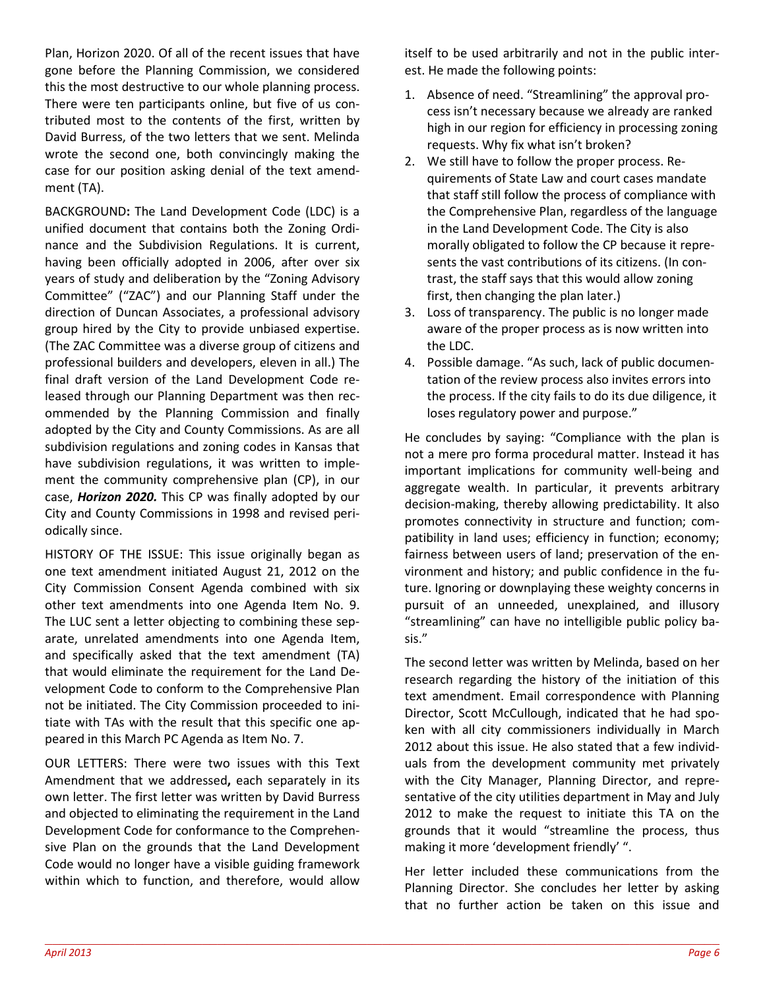Plan, Horizon 2020. Of all of the recent issues that have gone before the Planning Commission, we considered this the most destructive to our whole planning process. There were ten participants online, but five of us contributed most to the contents of the first, written by David Burress, of the two letters that we sent. Melinda wrote the second one, both convincingly making the case for our position asking denial of the text amendment (TA).

BACKGROUND**:** The Land Development Code (LDC) is a unified document that contains both the Zoning Ordinance and the Subdivision Regulations. It is current, having been officially adopted in 2006, after over six years of study and deliberation by the "Zoning Advisory Committee" ("ZAC") and our Planning Staff under the direction of Duncan Associates, a professional advisory group hired by the City to provide unbiased expertise. (The ZAC Committee was a diverse group of citizens and professional builders and developers, eleven in all.) The final draft version of the Land Development Code released through our Planning Department was then recommended by the Planning Commission and finally adopted by the City and County Commissions. As are all subdivision regulations and zoning codes in Kansas that have subdivision regulations, it was written to implement the community comprehensive plan (CP), in our case, *Horizon 2020.* This CP was finally adopted by our City and County Commissions in 1998 and revised periodically since.

HISTORY OF THE ISSUE: This issue originally began as one text amendment initiated August 21, 2012 on the City Commission Consent Agenda combined with six other text amendments into one Agenda Item No. 9. The LUC sent a letter objecting to combining these separate, unrelated amendments into one Agenda Item, and specifically asked that the text amendment (TA) that would eliminate the requirement for the Land Development Code to conform to the Comprehensive Plan not be initiated. The City Commission proceeded to initiate with TAs with the result that this specific one appeared in this March PC Agenda as Item No. 7.

OUR LETTERS: There were two issues with this Text Amendment that we addressed**,** each separately in its own letter. The first letter was written by David Burress and objected to eliminating the requirement in the Land Development Code for conformance to the Comprehensive Plan on the grounds that the Land Development Code would no longer have a visible guiding framework within which to function, and therefore, would allow itself to be used arbitrarily and not in the public interest. He made the following points:

- 1. Absence of need. "Streamlining" the approval process isn't necessary because we already are ranked high in our region for efficiency in processing zoning requests. Why fix what isn't broken?
- 2. We still have to follow the proper process. Requirements of State Law and court cases mandate that staff still follow the process of compliance with the Comprehensive Plan, regardless of the language in the Land Development Code. The City is also morally obligated to follow the CP because it represents the vast contributions of its citizens. (In contrast, the staff says that this would allow zoning first, then changing the plan later.)
- 3. Loss of transparency. The public is no longer made aware of the proper process as is now written into the LDC.
- 4. Possible damage. "As such, lack of public documentation of the review process also invites errors into the process. If the city fails to do its due diligence, it loses regulatory power and purpose."

He concludes by saying: "Compliance with the plan is not a mere pro forma procedural matter. Instead it has important implications for community well-being and aggregate wealth. In particular, it prevents arbitrary decision-making, thereby allowing predictability. It also promotes connectivity in structure and function; compatibility in land uses; efficiency in function; economy; fairness between users of land; preservation of the environment and history; and public confidence in the future. Ignoring or downplaying these weighty concerns in pursuit of an unneeded, unexplained, and illusory "streamlining" can have no intelligible public policy basis."

The second letter was written by Melinda, based on her research regarding the history of the initiation of this text amendment. Email correspondence with Planning Director, Scott McCullough, indicated that he had spoken with all city commissioners individually in March 2012 about this issue. He also stated that a few individuals from the development community met privately with the City Manager, Planning Director, and representative of the city utilities department in May and July 2012 to make the request to initiate this TA on the grounds that it would "streamline the process, thus making it more 'development friendly' ".

Her letter included these communications from the Planning Director. She concludes her letter by asking that no further action be taken on this issue and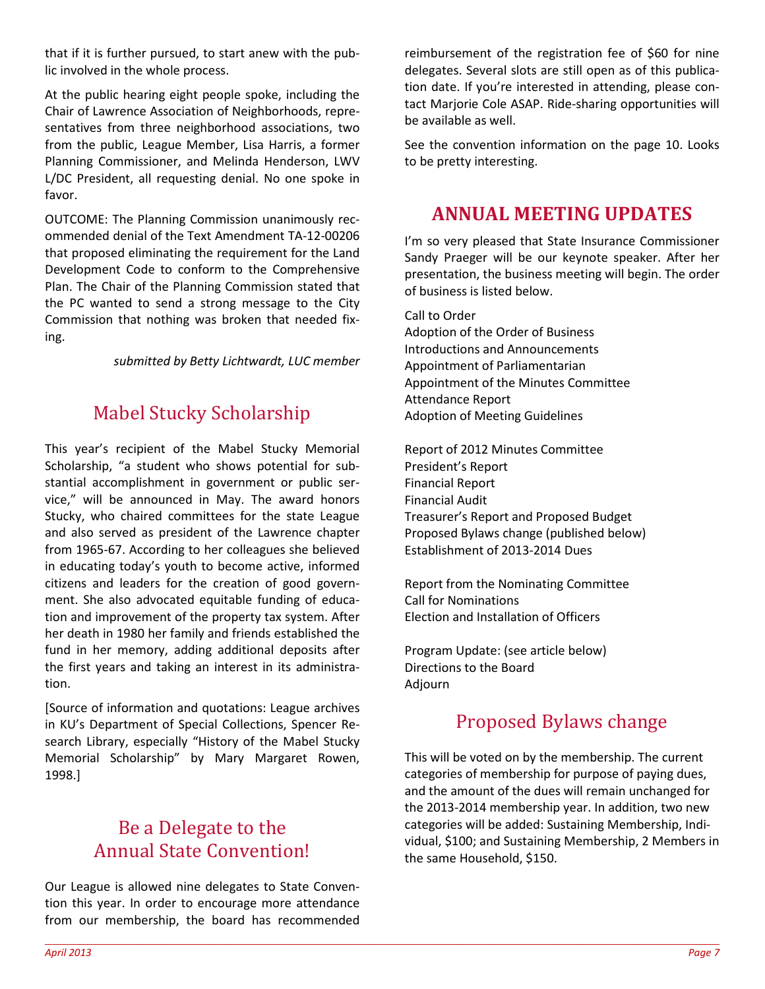that if it is further pursued, to start anew with the public involved in the whole process.

At the public hearing eight people spoke, including the Chair of Lawrence Association of Neighborhoods, representatives from three neighborhood associations, two from the public, League Member, Lisa Harris, a former Planning Commissioner, and Melinda Henderson, LWV L/DC President, all requesting denial. No one spoke in favor.

OUTCOME: The Planning Commission unanimously recommended denial of the Text Amendment TA-12-00206 that proposed eliminating the requirement for the Land Development Code to conform to the Comprehensive Plan. The Chair of the Planning Commission stated that the PC wanted to send a strong message to the City Commission that nothing was broken that needed fixing.

*submitted by Betty Lichtwardt, LUC member* 

## Mabel Stucky Scholarship

This year's recipient of the Mabel Stucky Memorial Scholarship, "a student who shows potential for substantial accomplishment in government or public service," will be announced in May. The award honors Stucky, who chaired committees for the state League and also served as president of the Lawrence chapter from 1965-67. According to her colleagues she believed in educating today's youth to become active, informed citizens and leaders for the creation of good government. She also advocated equitable funding of education and improvement of the property tax system. After her death in 1980 her family and friends established the fund in her memory, adding additional deposits after the first years and taking an interest in its administration.

[Source of information and quotations: League archives in KU's Department of Special Collections, Spencer Research Library, especially "History of the Mabel Stucky Memorial Scholarship" by Mary Margaret Rowen, 1998.]

## Be a Delegate to the Annual State Convention!

Our League is allowed nine delegates to State Convention this year. In order to encourage more attendance from our membership, the board has recommended

reimbursement of the registration fee of \$60 for nine delegates. Several slots are still open as of this publication date. If you're interested in attending, please contact Marjorie Cole ASAP. Ride-sharing opportunities will be available as well.

See the convention information on the page 10. Looks to be pretty interesting.

#### **ANNUAL MEETING UPDATES**

I'm so very pleased that State Insurance Commissioner Sandy Praeger will be our keynote speaker. After her presentation, the business meeting will begin. The order of business is listed below.

Call to Order Adoption of the Order of Business Introductions and Announcements Appointment of Parliamentarian Appointment of the Minutes Committee Attendance Report Adoption of Meeting Guidelines

Report of 2012 Minutes Committee President's Report Financial Report Financial Audit Treasurer's Report and Proposed Budget Proposed Bylaws change (published below) Establishment of 2013-2014 Dues

Report from the Nominating Committee Call for Nominations Election and Installation of Officers

Program Update: (see article below) Directions to the Board Adjourn

## Proposed Bylaws change

This will be voted on by the membership. The current categories of membership for purpose of paying dues, and the amount of the dues will remain unchanged for the 2013-2014 membership year. In addition, two new categories will be added: Sustaining Membership, Individual, \$100; and Sustaining Membership, 2 Members in the same Household, \$150.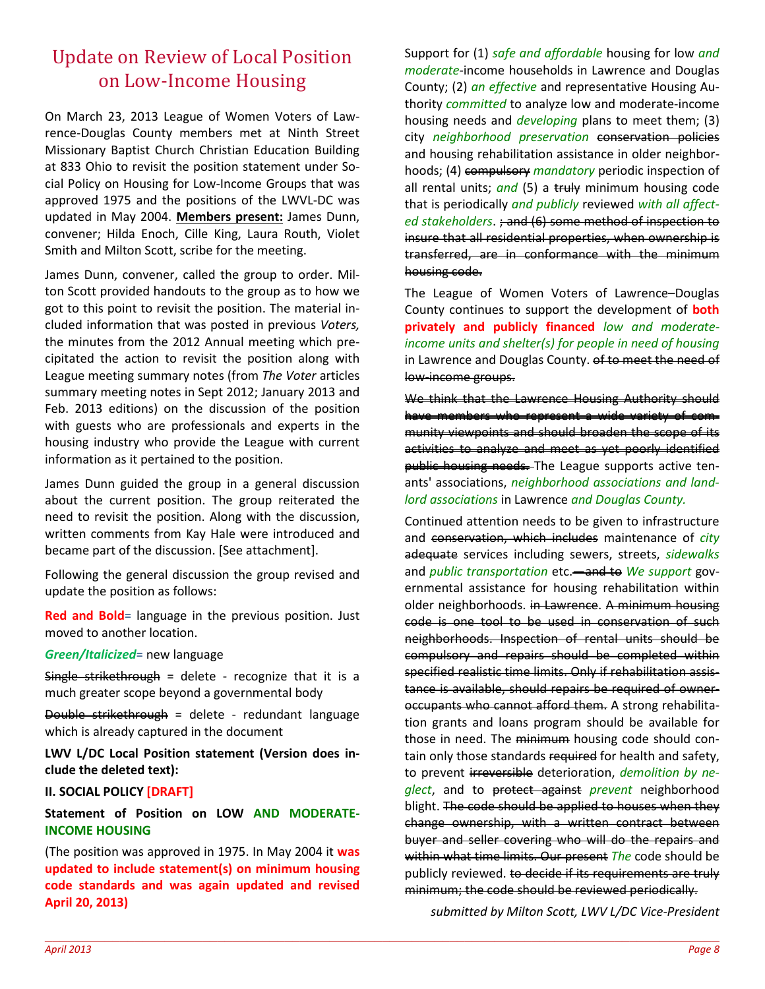## Update on Review of Local Position on Low-Income Housing

On March 23, 2013 League of Women Voters of Lawrence-Douglas County members met at Ninth Street Missionary Baptist Church Christian Education Building at 833 Ohio to revisit the position statement under Social Policy on Housing for Low-Income Groups that was approved 1975 and the positions of the LWVL-DC was updated in May 2004. **Members present:** James Dunn, convener; Hilda Enoch, Cille King, Laura Routh, Violet Smith and Milton Scott, scribe for the meeting.

James Dunn, convener, called the group to order. Milton Scott provided handouts to the group as to how we got to this point to revisit the position. The material included information that was posted in previous *Voters,*  the minutes from the 2012 Annual meeting which precipitated the action to revisit the position along with League meeting summary notes (from *The Voter* articles summary meeting notes in Sept 2012; January 2013 and Feb. 2013 editions) on the discussion of the position with guests who are professionals and experts in the housing industry who provide the League with current information as it pertained to the position.

James Dunn guided the group in a general discussion about the current position. The group reiterated the need to revisit the position. Along with the discussion, written comments from Kay Hale were introduced and became part of the discussion. [See attachment].

Following the general discussion the group revised and update the position as follows:

**Red and Bold**= language in the previous position. Just moved to another location.

*Green/Italicized*= new language

Single strikethrough = delete - recognize that it is a much greater scope beyond a governmental body

Double strikethrough = delete - redundant language which is already captured in the document

**LWV L/DC Local Position statement (Version does include the deleted text):** 

**II. SOCIAL POLICY [DRAFT]**

**Statement of Position on LOW AND MODERATE-INCOME HOUSING** 

(The position was approved in 1975. In May 2004 it **was updated to include statement(s) on minimum housing code standards and was again updated and revised April 20, 2013)** 

 $\_$  , and the set of the set of the set of the set of the set of the set of the set of the set of the set of the set of the set of the set of the set of the set of the set of the set of the set of the set of the set of th

Support for (1) *safe and affordable* housing for low *and moderate*-income households in Lawrence and Douglas County; (2) *an effective* and representative Housing Authority *committed* to analyze low and moderate-income housing needs and *developing* plans to meet them; (3) city *neighborhood preservation* conservation policies and housing rehabilitation assistance in older neighborhoods; (4) compulsory *mandatory* periodic inspection of all rental units; *and* (5) a truly minimum housing code that is periodically *and publicly* reviewed *with all affected stakeholders*. ; and (6) some method of inspection to insure that all residential properties, when ownership is transferred, are in conformance with the minimum housing code.

The League of Women Voters of Lawrence–Douglas County continues to support the development of **both privately and publicly financed** *low and moderateincome units and shelter(s) for people in need of housing* in Lawrence and Douglas County. of to meet the need of low-income groups.

We think that the Lawrence Housing Authority should have members who represent a wide variety of community viewpoints and should broaden the scope of its activities to analyze and meet as yet poorly identified public housing needs. The League supports active tenants' associations, *neighborhood associations and landlord associations* in Lawrence *and Douglas County.*

Continued attention needs to be given to infrastructure and conservation, which includes maintenance of *city* adequate services including sewers, streets, *sidewalks* and *public transportation* etc.—and to *We support* governmental assistance for housing rehabilitation within older neighborhoods. in Lawrence. A minimum housing code is one tool to be used in conservation of such neighborhoods. Inspection of rental units should be compulsory and repairs should be completed within specified realistic time limits. Only if rehabilitation assistance is available, should repairs be required of owneroccupants who cannot afford them. A strong rehabilitation grants and loans program should be available for those in need. The minimum housing code should contain only those standards required for health and safety, to prevent irreversible deterioration, *demolition by neglect*, and to protect against *prevent* neighborhood blight. The code should be applied to houses when they change ownership, with a written contract between buyer and seller covering who will do the repairs and within what time limits. Our present *The* code should be publicly reviewed. to decide if its requirements are truly minimum; the code should be reviewed periodically.

*submitted by Milton Scott, LWV L/DC Vice-President*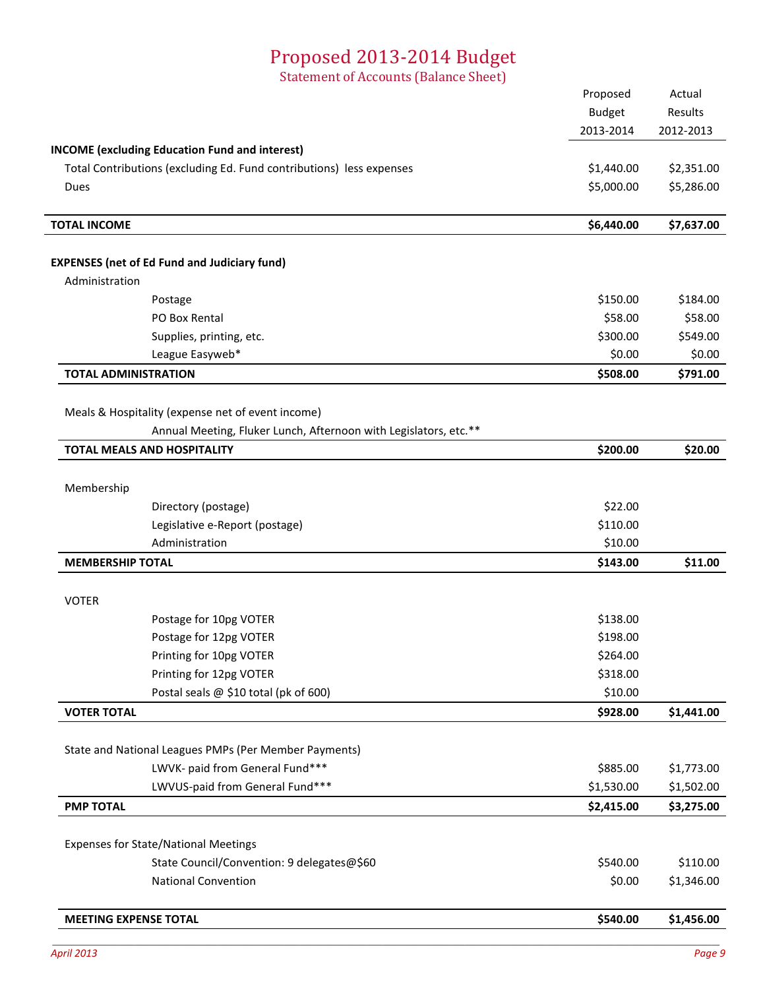## Proposed 2013-2014 Budget

Statement of Accounts (Balance Sheet)

| <b>INCOME</b> (excluding Education Fund and interest)<br>Total Contributions (excluding Ed. Fund contributions) less expenses<br>Dues<br><b>TOTAL INCOME</b><br><b>EXPENSES</b> (net of Ed Fund and Judiciary fund)<br>Administration<br>Postage<br>PO Box Rental<br>Supplies, printing, etc.<br>League Easyweb*<br><b>TOTAL ADMINISTRATION</b><br>Meals & Hospitality (expense net of event income)<br>Annual Meeting, Fluker Lunch, Afternoon with Legislators, etc.**<br><b>TOTAL MEALS AND HOSPITALITY</b> | 2013-2014<br>\$1,440.00<br>\$5,000.00<br>\$6,440.00<br>\$150.00<br>\$58.00<br>\$300.00<br>\$0.00<br>\$508.00<br>\$200.00 | 2012-2013<br>\$2,351.00<br>\$5,286.00<br>\$7,637.00<br>\$184.00<br>\$58.00<br>\$549.00<br>\$0.00<br>\$791.00 |
|----------------------------------------------------------------------------------------------------------------------------------------------------------------------------------------------------------------------------------------------------------------------------------------------------------------------------------------------------------------------------------------------------------------------------------------------------------------------------------------------------------------|--------------------------------------------------------------------------------------------------------------------------|--------------------------------------------------------------------------------------------------------------|
|                                                                                                                                                                                                                                                                                                                                                                                                                                                                                                                |                                                                                                                          |                                                                                                              |
|                                                                                                                                                                                                                                                                                                                                                                                                                                                                                                                |                                                                                                                          |                                                                                                              |
|                                                                                                                                                                                                                                                                                                                                                                                                                                                                                                                |                                                                                                                          |                                                                                                              |
|                                                                                                                                                                                                                                                                                                                                                                                                                                                                                                                |                                                                                                                          |                                                                                                              |
|                                                                                                                                                                                                                                                                                                                                                                                                                                                                                                                |                                                                                                                          |                                                                                                              |
|                                                                                                                                                                                                                                                                                                                                                                                                                                                                                                                |                                                                                                                          |                                                                                                              |
|                                                                                                                                                                                                                                                                                                                                                                                                                                                                                                                |                                                                                                                          |                                                                                                              |
|                                                                                                                                                                                                                                                                                                                                                                                                                                                                                                                |                                                                                                                          |                                                                                                              |
|                                                                                                                                                                                                                                                                                                                                                                                                                                                                                                                |                                                                                                                          |                                                                                                              |
|                                                                                                                                                                                                                                                                                                                                                                                                                                                                                                                |                                                                                                                          |                                                                                                              |
|                                                                                                                                                                                                                                                                                                                                                                                                                                                                                                                |                                                                                                                          |                                                                                                              |
|                                                                                                                                                                                                                                                                                                                                                                                                                                                                                                                |                                                                                                                          |                                                                                                              |
|                                                                                                                                                                                                                                                                                                                                                                                                                                                                                                                |                                                                                                                          |                                                                                                              |
|                                                                                                                                                                                                                                                                                                                                                                                                                                                                                                                |                                                                                                                          |                                                                                                              |
|                                                                                                                                                                                                                                                                                                                                                                                                                                                                                                                |                                                                                                                          | \$20.00                                                                                                      |
|                                                                                                                                                                                                                                                                                                                                                                                                                                                                                                                |                                                                                                                          |                                                                                                              |
| Membership                                                                                                                                                                                                                                                                                                                                                                                                                                                                                                     |                                                                                                                          |                                                                                                              |
| Directory (postage)                                                                                                                                                                                                                                                                                                                                                                                                                                                                                            | \$22.00                                                                                                                  |                                                                                                              |
| Legislative e-Report (postage)                                                                                                                                                                                                                                                                                                                                                                                                                                                                                 | \$110.00                                                                                                                 |                                                                                                              |
| Administration                                                                                                                                                                                                                                                                                                                                                                                                                                                                                                 | \$10.00                                                                                                                  |                                                                                                              |
| <b>MEMBERSHIP TOTAL</b>                                                                                                                                                                                                                                                                                                                                                                                                                                                                                        | \$143.00                                                                                                                 | \$11.00                                                                                                      |
|                                                                                                                                                                                                                                                                                                                                                                                                                                                                                                                |                                                                                                                          |                                                                                                              |
| <b>VOTER</b>                                                                                                                                                                                                                                                                                                                                                                                                                                                                                                   |                                                                                                                          |                                                                                                              |
| Postage for 10pg VOTER                                                                                                                                                                                                                                                                                                                                                                                                                                                                                         | \$138.00                                                                                                                 |                                                                                                              |
| Postage for 12pg VOTER                                                                                                                                                                                                                                                                                                                                                                                                                                                                                         | \$198.00                                                                                                                 |                                                                                                              |
| Printing for 10pg VOTER                                                                                                                                                                                                                                                                                                                                                                                                                                                                                        | \$264.00                                                                                                                 |                                                                                                              |
| Printing for 12pg VOTER                                                                                                                                                                                                                                                                                                                                                                                                                                                                                        | \$318.00                                                                                                                 |                                                                                                              |
| Postal seals @ \$10 total (pk of 600)                                                                                                                                                                                                                                                                                                                                                                                                                                                                          | \$10.00                                                                                                                  |                                                                                                              |
| <b>VOTER TOTAL</b>                                                                                                                                                                                                                                                                                                                                                                                                                                                                                             | \$928.00                                                                                                                 | \$1,441.00                                                                                                   |
| State and National Leagues PMPs (Per Member Payments)                                                                                                                                                                                                                                                                                                                                                                                                                                                          |                                                                                                                          |                                                                                                              |
| LWVK- paid from General Fund***                                                                                                                                                                                                                                                                                                                                                                                                                                                                                | \$885.00                                                                                                                 | \$1,773.00                                                                                                   |
| LWVUS-paid from General Fund***                                                                                                                                                                                                                                                                                                                                                                                                                                                                                | \$1,530.00                                                                                                               | \$1,502.00                                                                                                   |
| <b>PMP TOTAL</b>                                                                                                                                                                                                                                                                                                                                                                                                                                                                                               | \$2,415.00                                                                                                               | \$3,275.00                                                                                                   |
| <b>Expenses for State/National Meetings</b>                                                                                                                                                                                                                                                                                                                                                                                                                                                                    |                                                                                                                          |                                                                                                              |
| State Council/Convention: 9 delegates@\$60                                                                                                                                                                                                                                                                                                                                                                                                                                                                     | \$540.00                                                                                                                 | \$110.00                                                                                                     |
| <b>National Convention</b>                                                                                                                                                                                                                                                                                                                                                                                                                                                                                     | \$0.00                                                                                                                   | \$1,346.00                                                                                                   |
|                                                                                                                                                                                                                                                                                                                                                                                                                                                                                                                |                                                                                                                          |                                                                                                              |
| <b>MEETING EXPENSE TOTAL</b>                                                                                                                                                                                                                                                                                                                                                                                                                                                                                   | \$540.00                                                                                                                 | \$1,456.00                                                                                                   |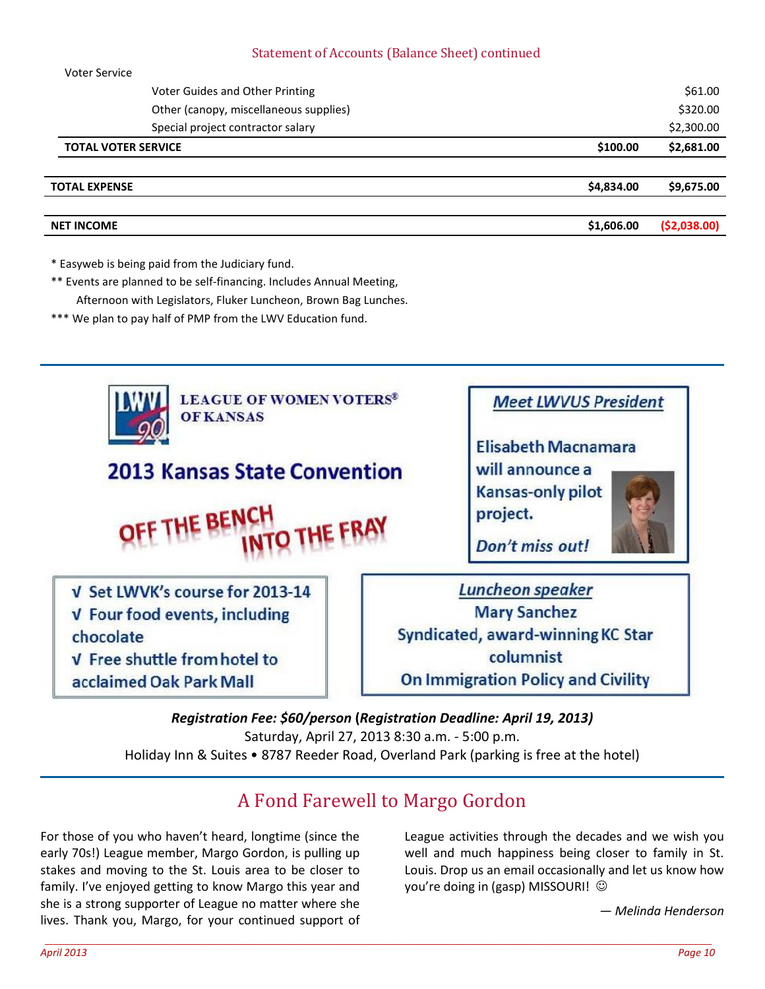#### Statement of Accounts (Balance Sheet) continued

|                            | <b>NET INCOME</b>    |                                        | \$1,606.00 | ( \$2,038.00) |
|----------------------------|----------------------|----------------------------------------|------------|---------------|
|                            |                      |                                        |            |               |
|                            | <b>TOTAL EXPENSE</b> |                                        | \$4,834.00 | \$9,675.00    |
|                            |                      |                                        |            |               |
| <b>TOTAL VOTER SERVICE</b> |                      |                                        | \$100.00   | \$2,681.00    |
|                            |                      | Special project contractor salary      |            | \$2,300.00    |
|                            |                      | Other (canopy, miscellaneous supplies) |            | \$320.00      |
|                            |                      | Voter Guides and Other Printing        |            | \$61.00       |
|                            | <b>VULCI JEIVILE</b> |                                        |            |               |

\* Easyweb is being paid from the Judiciary fund.

Voter Service

- \*\* Events are planned to be self-financing. Includes Annual Meeting, Afternoon with Legislators, Fluker Luncheon, Brown Bag Lunches.
- \*\*\* We plan to pay half of PMP from the LWV Education fund.



#### *Registration Fee: \$60/person* **(***Registration Deadline: April 19, 2013)*  Saturday, April 27, 2013 8:30 a.m. - 5:00 p.m. Holiday Inn & Suites • 8787 Reeder Road, Overland Park (parking is free at the hotel)

## A Fond Farewell to Margo Gordon

For those of you who haven't heard, longtime (since the early 70s!) League member, Margo Gordon, is pulling up stakes and moving to the St. Louis area to be closer to family. I've enjoyed getting to know Margo this year and she is a strong supporter of League no matter where she lives. Thank you, Margo, for your continued support of League activities through the decades and we wish you well and much happiness being closer to family in St. Louis. Drop us an email occasionally and let us know how you're doing in (gasp) MISSOURI! ©

*— Melinda Henderson*